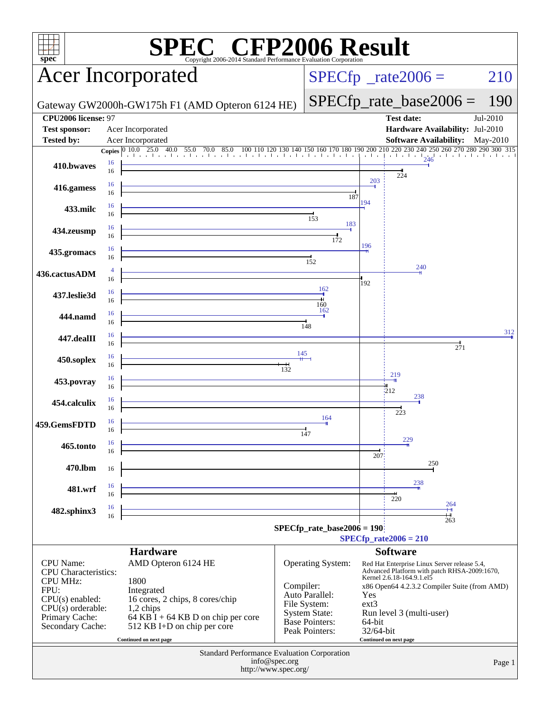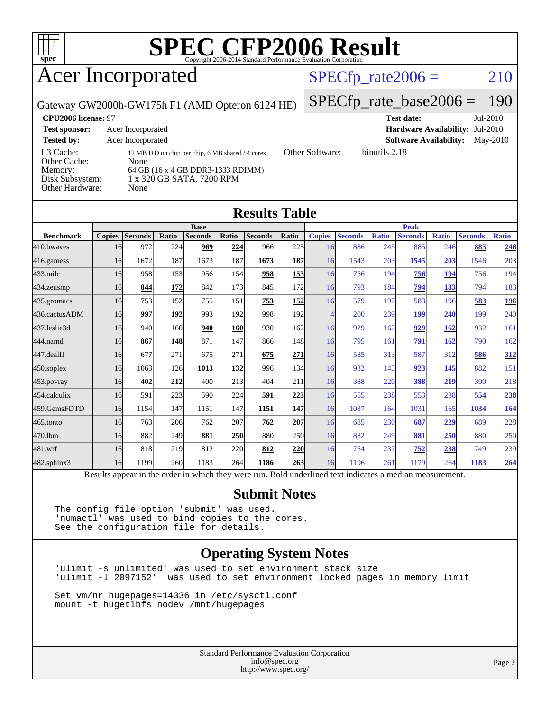

## Acer Incorporated

### $SPECTp_rate2006 = 210$

Gateway GW2000h-GW175h F1 (AMD Opteron 6124 HE)

[SPECfp\\_rate\\_base2006 =](http://www.spec.org/auto/cpu2006/Docs/result-fields.html#SPECfpratebase2006) 190

| CPU <sub>2006</sub> license: 97                                            |                                                                                                                                     |                 | <b>Test date:</b><br>$Jul-2010$             |
|----------------------------------------------------------------------------|-------------------------------------------------------------------------------------------------------------------------------------|-----------------|---------------------------------------------|
| <b>Test sponsor:</b>                                                       | Acer Incorporated                                                                                                                   |                 | <b>Hardware Availability: Jul-2010</b>      |
| <b>Tested by:</b>                                                          | Acer Incorporated                                                                                                                   |                 | <b>Software Availability:</b><br>$Mav-2010$ |
| L3 Cache:<br>Other Cache:<br>Memory:<br>Disk Subsystem:<br>Other Hardware: | 12 MB I+D on chip per chip, 6 MB shared / 4 cores<br>None<br>64 GB (16 x 4 GB DDR3-1333 RDIMM)<br>1 x 320 GB SATA, 7200 RPM<br>None | Other Software: | binutils 2.18                               |

**[Results Table](http://www.spec.org/auto/cpu2006/Docs/result-fields.html#ResultsTable)**

|                  |               |                                                                                                          |       |                |            | IWUULW LUWIV   |            |                          |                |              |                |              |                |              |
|------------------|---------------|----------------------------------------------------------------------------------------------------------|-------|----------------|------------|----------------|------------|--------------------------|----------------|--------------|----------------|--------------|----------------|--------------|
|                  | <b>Base</b>   |                                                                                                          |       |                |            |                |            | <b>Peak</b>              |                |              |                |              |                |              |
| <b>Benchmark</b> | <b>Copies</b> | <b>Seconds</b>                                                                                           | Ratio | <b>Seconds</b> | Ratio      | <b>Seconds</b> | Ratio      | <b>Copies</b>            | <b>Seconds</b> | <b>Ratio</b> | <b>Seconds</b> | <b>Ratio</b> | <b>Seconds</b> | <b>Ratio</b> |
| 410.bwayes       | 16            | 972                                                                                                      | 224   | 969            | 224        | 966            | 225        | 16                       | 886            | 245          | 885            | 246          | 885            | 246          |
| 416.gamess       | 16            | 1672                                                                                                     | 187   | 1673           | 187        | 1673           | 187        | 16                       | 1543           | 203          | 1545           | 203          | 1546           | 203          |
| 433.milc         | 16            | 958                                                                                                      | 153   | 956            | 154        | 958            | <u>153</u> | 16                       | 756            | 194          | 756            | 194          | 756            | 194          |
| 434.zeusmp       | 16            | 844                                                                                                      | 172   | 842            | 173        | 845            | 172        | 16                       | 793            | 184          | 794            | 183          | 794            | 183          |
| 435.gromacs      | 16            | 753                                                                                                      | 152   | 755            | 151        | 753            | <b>152</b> | 16                       | 579            | 197          | 583            | 196          | 583            | <u>196</u>   |
| 436.cactusADM    | 16            | 997                                                                                                      | 192   | 993            | 192        | 998            | 192        | $\overline{\mathcal{A}}$ | 200            | 239          | 199            | 240          | 199            | 240          |
| 437.leslie3d     | 16            | 940                                                                                                      | 160   | 940            | <b>160</b> | 930            | 162        | 16                       | 929            | 162          | 929            | 162          | 932            | 161          |
| 444.namd         | 16            | 867                                                                                                      | 148   | 871            | 147        | 866            | 148        | 16                       | 795            | 161          | 791            | 162          | 790            | 162          |
| 447.dealII       | 16            | 677                                                                                                      | 271   | 675            | 271        | 675            | 271        | 16                       | 585            | 313          | 587            | 312          | 586            | 312          |
| $450$ .soplex    | 16            | 1063                                                                                                     | 126   | 1013           | 132        | 996            | 134        | 16                       | 932            | 143          | 923            | 145          | 882            | 151          |
| 453.povray       | 16            | 402                                                                                                      | 212   | 400            | 213        | 404            | 211        | 16                       | 388            | 220          | 388            | 219          | 390            | 218          |
| 454.calculix     | 16            | 591                                                                                                      | 223   | 590            | 224        | 591            | 223        | 16                       | 555            | 238          | 553            | 238          | 554            | 238          |
| 459.GemsFDTD     | 16            | 1154                                                                                                     | 147   | 1151           | 147        | 1151           | <u>147</u> | 16                       | 1037           | 164          | 1031           | 165          | 1034           | 164          |
| $465$ .tonto     | 16            | 763                                                                                                      | 206   | 762            | 207        | 762            | 207        | 16                       | 685            | 230          | 687            | 229          | 689            | 228          |
| 470.1bm          | 16            | 882                                                                                                      | 249   | 881            | <b>250</b> | 880            | 250l       | 16                       | 882            | 249          | 881            | 250          | 880            | 250          |
| 481.wrf          | 16            | 818                                                                                                      | 219   | 812            | 220        | 812            | <b>220</b> | 16                       | 754            | 237          | 752            | 238          | 749            | 239          |
| 482.sphinx3      | 16            | 1199                                                                                                     | 260   | 1183           | 264        | 1186           | 263        | 16                       | 1196           | 261          | 1179           | 264          | 1183           | 264          |
|                  |               | Results appear in the order in which they were run. Bold underlined text indicates a median measurement. |       |                |            |                |            |                          |                |              |                |              |                |              |

#### **[Submit Notes](http://www.spec.org/auto/cpu2006/Docs/result-fields.html#SubmitNotes)**

The config file option 'submit' was used. 'numactl' was used to bind copies to the cores. See the configuration file for details.

#### **[Operating System Notes](http://www.spec.org/auto/cpu2006/Docs/result-fields.html#OperatingSystemNotes)**

'ulimit -s unlimited' was used to set environment stack size 'ulimit -l 2097152' was used to set environment locked pages in memory limit

Set vm/nr\_hugepages=14336 in /etc/sysctl.conf mount -t hugetlbfs nodev /mnt/hugepages

> Standard Performance Evaluation Corporation [info@spec.org](mailto:info@spec.org) <http://www.spec.org/>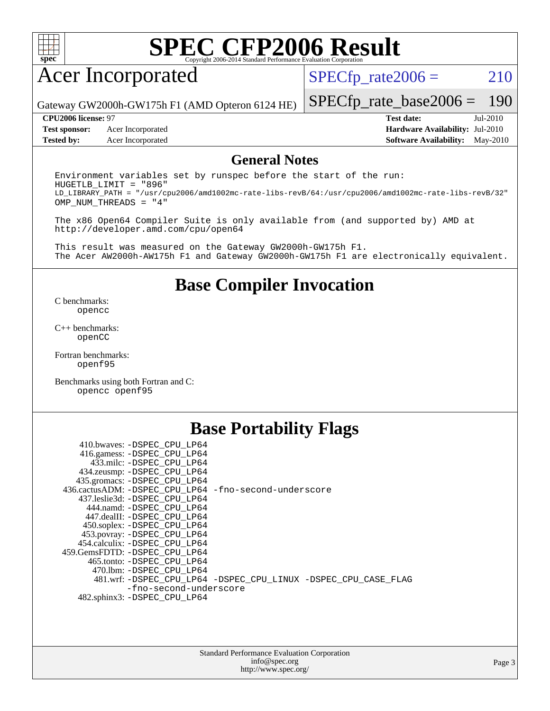

## Acer Incorporated

 $SPECTp_rate2006 = 210$ 

Gateway GW2000h-GW175h F1 (AMD Opteron 6124 HE)

**[Test sponsor:](http://www.spec.org/auto/cpu2006/Docs/result-fields.html#Testsponsor)** Acer Incorporated **[Hardware Availability:](http://www.spec.org/auto/cpu2006/Docs/result-fields.html#HardwareAvailability)** Jul-2010

[SPECfp\\_rate\\_base2006 =](http://www.spec.org/auto/cpu2006/Docs/result-fields.html#SPECfpratebase2006) 190 **[CPU2006 license:](http://www.spec.org/auto/cpu2006/Docs/result-fields.html#CPU2006license)** 97 **[Test date:](http://www.spec.org/auto/cpu2006/Docs/result-fields.html#Testdate)** Jul-2010

**[Tested by:](http://www.spec.org/auto/cpu2006/Docs/result-fields.html#Testedby)** Acer Incorporated **[Software Availability:](http://www.spec.org/auto/cpu2006/Docs/result-fields.html#SoftwareAvailability)** May-2010

#### **[General Notes](http://www.spec.org/auto/cpu2006/Docs/result-fields.html#GeneralNotes)**

Environment variables set by runspec before the start of the run: HUGETLB\_LIMIT = "896" LD\_LIBRARY\_PATH = "/usr/cpu2006/amd1002mc-rate-libs-revB/64:/usr/cpu2006/amd1002mc-rate-libs-revB/32" OMP\_NUM\_THREADS = "4"

The x86 Open64 Compiler Suite is only available from (and supported by) AMD at <http://developer.amd.com/cpu/open64>

This result was measured on the Gateway GW2000h-GW175h F1. The Acer AW2000h-AW175h F1 and Gateway GW2000h-GW175h F1 are electronically equivalent.

#### **[Base Compiler Invocation](http://www.spec.org/auto/cpu2006/Docs/result-fields.html#BaseCompilerInvocation)**

[C benchmarks](http://www.spec.org/auto/cpu2006/Docs/result-fields.html#Cbenchmarks): [opencc](http://www.spec.org/cpu2006/results/res2010q3/cpu2006-20100718-12462.flags.html#user_CCbase_Fopencc)

[C++ benchmarks:](http://www.spec.org/auto/cpu2006/Docs/result-fields.html#CXXbenchmarks) [openCC](http://www.spec.org/cpu2006/results/res2010q3/cpu2006-20100718-12462.flags.html#user_CXXbase_FopenCC)

[Fortran benchmarks](http://www.spec.org/auto/cpu2006/Docs/result-fields.html#Fortranbenchmarks): [openf95](http://www.spec.org/cpu2006/results/res2010q3/cpu2006-20100718-12462.flags.html#user_FCbase_Fopenf95)

[Benchmarks using both Fortran and C](http://www.spec.org/auto/cpu2006/Docs/result-fields.html#BenchmarksusingbothFortranandC): [opencc](http://www.spec.org/cpu2006/results/res2010q3/cpu2006-20100718-12462.flags.html#user_CC_FCbase_Fopencc) [openf95](http://www.spec.org/cpu2006/results/res2010q3/cpu2006-20100718-12462.flags.html#user_CC_FCbase_Fopenf95)

### **[Base Portability Flags](http://www.spec.org/auto/cpu2006/Docs/result-fields.html#BasePortabilityFlags)**

 410.bwaves: [-DSPEC\\_CPU\\_LP64](http://www.spec.org/cpu2006/results/res2010q3/cpu2006-20100718-12462.flags.html#suite_basePORTABILITY410_bwaves_DSPEC_CPU_LP64) 416.gamess: [-DSPEC\\_CPU\\_LP64](http://www.spec.org/cpu2006/results/res2010q3/cpu2006-20100718-12462.flags.html#suite_basePORTABILITY416_gamess_DSPEC_CPU_LP64) 433.milc: [-DSPEC\\_CPU\\_LP64](http://www.spec.org/cpu2006/results/res2010q3/cpu2006-20100718-12462.flags.html#suite_basePORTABILITY433_milc_DSPEC_CPU_LP64) 434.zeusmp: [-DSPEC\\_CPU\\_LP64](http://www.spec.org/cpu2006/results/res2010q3/cpu2006-20100718-12462.flags.html#suite_basePORTABILITY434_zeusmp_DSPEC_CPU_LP64) 435.gromacs: [-DSPEC\\_CPU\\_LP64](http://www.spec.org/cpu2006/results/res2010q3/cpu2006-20100718-12462.flags.html#suite_basePORTABILITY435_gromacs_DSPEC_CPU_LP64) 436.cactusADM: [-DSPEC\\_CPU\\_LP64](http://www.spec.org/cpu2006/results/res2010q3/cpu2006-20100718-12462.flags.html#suite_basePORTABILITY436_cactusADM_DSPEC_CPU_LP64) [-fno-second-underscore](http://www.spec.org/cpu2006/results/res2010q3/cpu2006-20100718-12462.flags.html#user_baseFPORTABILITY436_cactusADM_F-fno-second-underscore) 437.leslie3d: [-DSPEC\\_CPU\\_LP64](http://www.spec.org/cpu2006/results/res2010q3/cpu2006-20100718-12462.flags.html#suite_basePORTABILITY437_leslie3d_DSPEC_CPU_LP64) 444.namd: [-DSPEC\\_CPU\\_LP64](http://www.spec.org/cpu2006/results/res2010q3/cpu2006-20100718-12462.flags.html#suite_basePORTABILITY444_namd_DSPEC_CPU_LP64) 447.dealII: [-DSPEC\\_CPU\\_LP64](http://www.spec.org/cpu2006/results/res2010q3/cpu2006-20100718-12462.flags.html#suite_basePORTABILITY447_dealII_DSPEC_CPU_LP64) 450.soplex: [-DSPEC\\_CPU\\_LP64](http://www.spec.org/cpu2006/results/res2010q3/cpu2006-20100718-12462.flags.html#suite_basePORTABILITY450_soplex_DSPEC_CPU_LP64) 453.povray: [-DSPEC\\_CPU\\_LP64](http://www.spec.org/cpu2006/results/res2010q3/cpu2006-20100718-12462.flags.html#suite_basePORTABILITY453_povray_DSPEC_CPU_LP64) 454.calculix: [-DSPEC\\_CPU\\_LP64](http://www.spec.org/cpu2006/results/res2010q3/cpu2006-20100718-12462.flags.html#suite_basePORTABILITY454_calculix_DSPEC_CPU_LP64) 459.GemsFDTD: [-DSPEC\\_CPU\\_LP64](http://www.spec.org/cpu2006/results/res2010q3/cpu2006-20100718-12462.flags.html#suite_basePORTABILITY459_GemsFDTD_DSPEC_CPU_LP64) 465.tonto: [-DSPEC\\_CPU\\_LP64](http://www.spec.org/cpu2006/results/res2010q3/cpu2006-20100718-12462.flags.html#suite_basePORTABILITY465_tonto_DSPEC_CPU_LP64) 470.lbm: [-DSPEC\\_CPU\\_LP64](http://www.spec.org/cpu2006/results/res2010q3/cpu2006-20100718-12462.flags.html#suite_basePORTABILITY470_lbm_DSPEC_CPU_LP64) 481.wrf: [-DSPEC\\_CPU\\_LP64](http://www.spec.org/cpu2006/results/res2010q3/cpu2006-20100718-12462.flags.html#suite_basePORTABILITY481_wrf_DSPEC_CPU_LP64) [-DSPEC\\_CPU\\_LINUX](http://www.spec.org/cpu2006/results/res2010q3/cpu2006-20100718-12462.flags.html#b481.wrf_baseCPORTABILITY_DSPEC_CPU_LINUX) [-DSPEC\\_CPU\\_CASE\\_FLAG](http://www.spec.org/cpu2006/results/res2010q3/cpu2006-20100718-12462.flags.html#b481.wrf_baseCPORTABILITY_DSPEC_CPU_CASE_FLAG) [-fno-second-underscore](http://www.spec.org/cpu2006/results/res2010q3/cpu2006-20100718-12462.flags.html#user_baseFPORTABILITY481_wrf_F-fno-second-underscore) 482.sphinx3: [-DSPEC\\_CPU\\_LP64](http://www.spec.org/cpu2006/results/res2010q3/cpu2006-20100718-12462.flags.html#suite_basePORTABILITY482_sphinx3_DSPEC_CPU_LP64)

| <b>Standard Performance Evaluation Corporation</b> |
|----------------------------------------------------|
| info@spec.org                                      |
| http://www.spec.org/                               |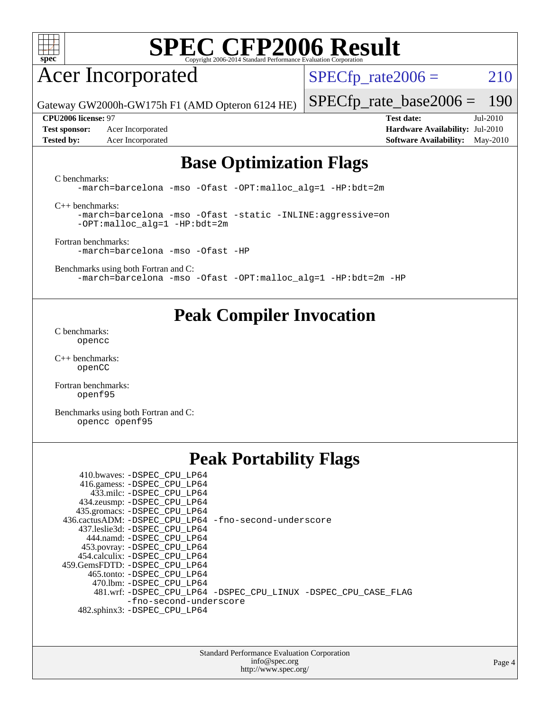

## Acer Incorporated

 $SPECTp_rate2006 = 210$ 

Gateway GW2000h-GW175h F1 (AMD Opteron 6124 HE)

**[Test sponsor:](http://www.spec.org/auto/cpu2006/Docs/result-fields.html#Testsponsor)** Acer Incorporated **[Hardware Availability:](http://www.spec.org/auto/cpu2006/Docs/result-fields.html#HardwareAvailability)** Jul-2010

[SPECfp\\_rate\\_base2006 =](http://www.spec.org/auto/cpu2006/Docs/result-fields.html#SPECfpratebase2006) 190 **[CPU2006 license:](http://www.spec.org/auto/cpu2006/Docs/result-fields.html#CPU2006license)** 97 **[Test date:](http://www.spec.org/auto/cpu2006/Docs/result-fields.html#Testdate)** Jul-2010

## **[Tested by:](http://www.spec.org/auto/cpu2006/Docs/result-fields.html#Testedby)** Acer Incorporated **[Software Availability:](http://www.spec.org/auto/cpu2006/Docs/result-fields.html#SoftwareAvailability)** May-2010

### **[Base Optimization Flags](http://www.spec.org/auto/cpu2006/Docs/result-fields.html#BaseOptimizationFlags)**

[C benchmarks](http://www.spec.org/auto/cpu2006/Docs/result-fields.html#Cbenchmarks):

[-march=barcelona](http://www.spec.org/cpu2006/results/res2010q3/cpu2006-20100718-12462.flags.html#user_CCbase_F-march_8ea39521cada96f307a04d0b8b9c6ffb) [-mso](http://www.spec.org/cpu2006/results/res2010q3/cpu2006-20100718-12462.flags.html#user_CCbase_F-mso) [-Ofast](http://www.spec.org/cpu2006/results/res2010q3/cpu2006-20100718-12462.flags.html#user_CCbase_F-Ofast) [-OPT:malloc\\_alg=1](http://www.spec.org/cpu2006/results/res2010q3/cpu2006-20100718-12462.flags.html#user_CCbase_F-OPT:malloc_algorithm_58733815edefaa612c2ed769b716daa0) [-HP:bdt=2m](http://www.spec.org/cpu2006/results/res2010q3/cpu2006-20100718-12462.flags.html#user_CCbase_F-HUGEPAGE_99eaea9f74400395f9f16774d1aed5d7)

[C++ benchmarks:](http://www.spec.org/auto/cpu2006/Docs/result-fields.html#CXXbenchmarks)

[-march=barcelona](http://www.spec.org/cpu2006/results/res2010q3/cpu2006-20100718-12462.flags.html#user_CXXbase_F-march_8ea39521cada96f307a04d0b8b9c6ffb) [-mso](http://www.spec.org/cpu2006/results/res2010q3/cpu2006-20100718-12462.flags.html#user_CXXbase_F-mso) [-Ofast](http://www.spec.org/cpu2006/results/res2010q3/cpu2006-20100718-12462.flags.html#user_CXXbase_F-Ofast) [-static](http://www.spec.org/cpu2006/results/res2010q3/cpu2006-20100718-12462.flags.html#user_CXXbase_F-static) [-INLINE:aggressive=on](http://www.spec.org/cpu2006/results/res2010q3/cpu2006-20100718-12462.flags.html#user_CXXbase_F-INLINE:aggressive_e14807c0a1e56a6a83cb25ab07c7ae8a) [-OPT:malloc\\_alg=1](http://www.spec.org/cpu2006/results/res2010q3/cpu2006-20100718-12462.flags.html#user_CXXbase_F-OPT:malloc_algorithm_58733815edefaa612c2ed769b716daa0) [-HP:bdt=2m](http://www.spec.org/cpu2006/results/res2010q3/cpu2006-20100718-12462.flags.html#user_CXXbase_F-HUGEPAGE_99eaea9f74400395f9f16774d1aed5d7)

[Fortran benchmarks](http://www.spec.org/auto/cpu2006/Docs/result-fields.html#Fortranbenchmarks): [-march=barcelona](http://www.spec.org/cpu2006/results/res2010q3/cpu2006-20100718-12462.flags.html#user_FCbase_F-march_8ea39521cada96f307a04d0b8b9c6ffb) [-mso](http://www.spec.org/cpu2006/results/res2010q3/cpu2006-20100718-12462.flags.html#user_FCbase_F-mso) [-Ofast](http://www.spec.org/cpu2006/results/res2010q3/cpu2006-20100718-12462.flags.html#user_FCbase_F-Ofast) [-HP](http://www.spec.org/cpu2006/results/res2010q3/cpu2006-20100718-12462.flags.html#user_FCbase_F-HUGEPAGE_5df7ddc958063186306345596c5e7dc3)

[Benchmarks using both Fortran and C](http://www.spec.org/auto/cpu2006/Docs/result-fields.html#BenchmarksusingbothFortranandC): [-march=barcelona](http://www.spec.org/cpu2006/results/res2010q3/cpu2006-20100718-12462.flags.html#user_CC_FCbase_F-march_8ea39521cada96f307a04d0b8b9c6ffb) [-mso](http://www.spec.org/cpu2006/results/res2010q3/cpu2006-20100718-12462.flags.html#user_CC_FCbase_F-mso) [-Ofast](http://www.spec.org/cpu2006/results/res2010q3/cpu2006-20100718-12462.flags.html#user_CC_FCbase_F-Ofast) [-OPT:malloc\\_alg=1](http://www.spec.org/cpu2006/results/res2010q3/cpu2006-20100718-12462.flags.html#user_CC_FCbase_F-OPT:malloc_algorithm_58733815edefaa612c2ed769b716daa0) [-HP:bdt=2m](http://www.spec.org/cpu2006/results/res2010q3/cpu2006-20100718-12462.flags.html#user_CC_FCbase_F-HUGEPAGE_99eaea9f74400395f9f16774d1aed5d7) [-HP](http://www.spec.org/cpu2006/results/res2010q3/cpu2006-20100718-12462.flags.html#user_CC_FCbase_F-HUGEPAGE_5df7ddc958063186306345596c5e7dc3)

### **[Peak Compiler Invocation](http://www.spec.org/auto/cpu2006/Docs/result-fields.html#PeakCompilerInvocation)**

[C benchmarks](http://www.spec.org/auto/cpu2006/Docs/result-fields.html#Cbenchmarks): [opencc](http://www.spec.org/cpu2006/results/res2010q3/cpu2006-20100718-12462.flags.html#user_CCpeak_Fopencc)

[C++ benchmarks:](http://www.spec.org/auto/cpu2006/Docs/result-fields.html#CXXbenchmarks) [openCC](http://www.spec.org/cpu2006/results/res2010q3/cpu2006-20100718-12462.flags.html#user_CXXpeak_FopenCC)

[Fortran benchmarks](http://www.spec.org/auto/cpu2006/Docs/result-fields.html#Fortranbenchmarks): [openf95](http://www.spec.org/cpu2006/results/res2010q3/cpu2006-20100718-12462.flags.html#user_FCpeak_Fopenf95)

[Benchmarks using both Fortran and C](http://www.spec.org/auto/cpu2006/Docs/result-fields.html#BenchmarksusingbothFortranandC): [opencc](http://www.spec.org/cpu2006/results/res2010q3/cpu2006-20100718-12462.flags.html#user_CC_FCpeak_Fopencc) [openf95](http://www.spec.org/cpu2006/results/res2010q3/cpu2006-20100718-12462.flags.html#user_CC_FCpeak_Fopenf95)

### **[Peak Portability Flags](http://www.spec.org/auto/cpu2006/Docs/result-fields.html#PeakPortabilityFlags)**

| 410.bwaves: -DSPEC CPU LP64<br>416.gamess: - DSPEC_CPU_LP64<br>433.milc: -DSPEC CPU LP64<br>434.zeusmp: - DSPEC_CPU_LP64<br>435.gromacs: -DSPEC_CPU_LP64 |                                                                |
|----------------------------------------------------------------------------------------------------------------------------------------------------------|----------------------------------------------------------------|
| 436.cactusADM: -DSPEC CPU LP64 -fno-second-underscore                                                                                                    |                                                                |
| 437.leslie3d: -DSPEC_CPU LP64                                                                                                                            |                                                                |
| 444.namd: -DSPEC CPU LP64                                                                                                                                |                                                                |
| 453.povray: -DSPEC_CPU_LP64                                                                                                                              |                                                                |
| 454.calculix: -DSPEC CPU LP64                                                                                                                            |                                                                |
| 459.GemsFDTD: -DSPEC CPU LP64                                                                                                                            |                                                                |
| 465.tonto: - DSPEC_CPU LP64                                                                                                                              |                                                                |
| 470.1bm: -DSPEC CPU LP64                                                                                                                                 |                                                                |
|                                                                                                                                                          | 481.wrf: -DSPEC_CPU_LP64 -DSPEC_CPU_LINUX -DSPEC_CPU_CASE_FLAG |
| -fno-second-underscore                                                                                                                                   |                                                                |
| 482.sphinx3: -DSPEC CPU LP64                                                                                                                             |                                                                |

#### Standard Performance Evaluation Corporation [info@spec.org](mailto:info@spec.org) <http://www.spec.org/>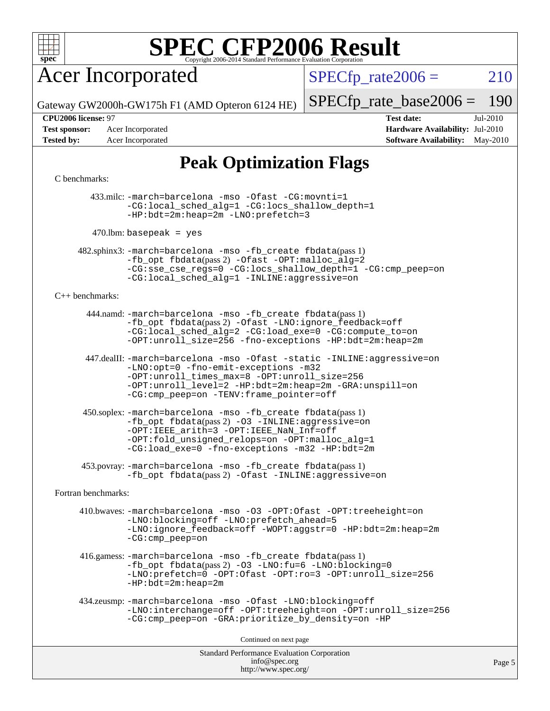

## Acer Incorporated

 $SPECTp_rate2006 = 210$ 

Gateway GW2000h-GW175h F1 (AMD Opteron 6124 HE)

[SPECfp\\_rate\\_base2006 =](http://www.spec.org/auto/cpu2006/Docs/result-fields.html#SPECfpratebase2006) 190

**[Test sponsor:](http://www.spec.org/auto/cpu2006/Docs/result-fields.html#Testsponsor)** Acer Incorporated **[Hardware Availability:](http://www.spec.org/auto/cpu2006/Docs/result-fields.html#HardwareAvailability)** Jul-2010

**[CPU2006 license:](http://www.spec.org/auto/cpu2006/Docs/result-fields.html#CPU2006license)** 97 **[Test date:](http://www.spec.org/auto/cpu2006/Docs/result-fields.html#Testdate)** Jul-2010 **[Tested by:](http://www.spec.org/auto/cpu2006/Docs/result-fields.html#Testedby)** Acer Incorporated **[Software Availability:](http://www.spec.org/auto/cpu2006/Docs/result-fields.html#SoftwareAvailability)** May-2010

### **[Peak Optimization Flags](http://www.spec.org/auto/cpu2006/Docs/result-fields.html#PeakOptimizationFlags)**

#### [C benchmarks](http://www.spec.org/auto/cpu2006/Docs/result-fields.html#Cbenchmarks):

 433.milc: [-march=barcelona](http://www.spec.org/cpu2006/results/res2010q3/cpu2006-20100718-12462.flags.html#user_peakCCLD433_milc_F-march_8ea39521cada96f307a04d0b8b9c6ffb) [-mso](http://www.spec.org/cpu2006/results/res2010q3/cpu2006-20100718-12462.flags.html#user_peakCCLD433_milc_F-mso) [-Ofast](http://www.spec.org/cpu2006/results/res2010q3/cpu2006-20100718-12462.flags.html#user_peakCOPTIMIZE433_milc_F-Ofast) [-CG:movnti=1](http://www.spec.org/cpu2006/results/res2010q3/cpu2006-20100718-12462.flags.html#user_peakCOPTIMIZE433_milc_F-CG:movnti_c5191dc1f6da57382570e339f0143b6b) [-CG:local\\_sched\\_alg=1](http://www.spec.org/cpu2006/results/res2010q3/cpu2006-20100718-12462.flags.html#user_peakCOPTIMIZE433_milc_F-CG:local_sched_alg_2175ca61f1a2717f1ec57b14995b9e7a) [-CG:locs\\_shallow\\_depth=1](http://www.spec.org/cpu2006/results/res2010q3/cpu2006-20100718-12462.flags.html#user_peakCOPTIMIZE433_milc_F-CG:locs_shallow_depth_ec0a53d3def1c53dcd5985fc16cc23f2) [-HP:bdt=2m:heap=2m](http://www.spec.org/cpu2006/results/res2010q3/cpu2006-20100718-12462.flags.html#user_peakCOPTIMIZE433_milc_F-HUGEPAGE_855e97383b49831f390a2af16fe7202f) [-LNO:prefetch=3](http://www.spec.org/cpu2006/results/res2010q3/cpu2006-20100718-12462.flags.html#user_peakCOPTIMIZE433_milc_F-LNO:prefetch_73b5a9400a8f80d6e23f06aa34f07c5f)

 $470$ .lbm: basepeak = yes

 482.sphinx3: [-march=barcelona](http://www.spec.org/cpu2006/results/res2010q3/cpu2006-20100718-12462.flags.html#user_peakCCLD482_sphinx3_F-march_8ea39521cada96f307a04d0b8b9c6ffb) [-mso](http://www.spec.org/cpu2006/results/res2010q3/cpu2006-20100718-12462.flags.html#user_peakCCLD482_sphinx3_F-mso) [-fb\\_create fbdata](http://www.spec.org/cpu2006/results/res2010q3/cpu2006-20100718-12462.flags.html#user_peakPASS1_CFLAGSPASS1_LDFLAGS482_sphinx3_F-fb_create_filename)(pass 1) [-fb\\_opt fbdata](http://www.spec.org/cpu2006/results/res2010q3/cpu2006-20100718-12462.flags.html#user_peakPASS2_CFLAGSPASS2_LDFLAGS482_sphinx3_F-fb_opt_filename)(pass 2) [-Ofast](http://www.spec.org/cpu2006/results/res2010q3/cpu2006-20100718-12462.flags.html#user_peakCOPTIMIZE482_sphinx3_F-Ofast) [-OPT:malloc\\_alg=2](http://www.spec.org/cpu2006/results/res2010q3/cpu2006-20100718-12462.flags.html#user_peakCOPTIMIZE482_sphinx3_F-OPT:malloc_algorithm_e62903d0840423b2a5cd674766328c33) [-CG:sse\\_cse\\_regs=0](http://www.spec.org/cpu2006/results/res2010q3/cpu2006-20100718-12462.flags.html#user_peakCOPTIMIZE482_sphinx3_F-CG:sse_cse_regs_7df8d7006fcaae90aa34e4c541216ae1) [-CG:locs\\_shallow\\_depth=1](http://www.spec.org/cpu2006/results/res2010q3/cpu2006-20100718-12462.flags.html#user_peakCOPTIMIZE482_sphinx3_F-CG:locs_shallow_depth_ec0a53d3def1c53dcd5985fc16cc23f2) [-CG:cmp\\_peep=on](http://www.spec.org/cpu2006/results/res2010q3/cpu2006-20100718-12462.flags.html#user_peakCOPTIMIZE482_sphinx3_F-CG:cmp_peep_ab90c979e95bee1f1f617a32622424ed) [-CG:local\\_sched\\_alg=1](http://www.spec.org/cpu2006/results/res2010q3/cpu2006-20100718-12462.flags.html#user_peakCOPTIMIZE482_sphinx3_F-CG:local_sched_alg_2175ca61f1a2717f1ec57b14995b9e7a) [-INLINE:aggressive=on](http://www.spec.org/cpu2006/results/res2010q3/cpu2006-20100718-12462.flags.html#user_peakCOPTIMIZE482_sphinx3_F-INLINE:aggressive_e14807c0a1e56a6a83cb25ab07c7ae8a)

#### [C++ benchmarks:](http://www.spec.org/auto/cpu2006/Docs/result-fields.html#CXXbenchmarks)

 444.namd: [-march=barcelona](http://www.spec.org/cpu2006/results/res2010q3/cpu2006-20100718-12462.flags.html#user_peakCXXLD444_namd_F-march_8ea39521cada96f307a04d0b8b9c6ffb) [-mso](http://www.spec.org/cpu2006/results/res2010q3/cpu2006-20100718-12462.flags.html#user_peakCXXLD444_namd_F-mso) [-fb\\_create fbdata](http://www.spec.org/cpu2006/results/res2010q3/cpu2006-20100718-12462.flags.html#user_peakPASS1_CXXFLAGSPASS1_LDFLAGS444_namd_F-fb_create_filename)(pass 1) [-fb\\_opt fbdata](http://www.spec.org/cpu2006/results/res2010q3/cpu2006-20100718-12462.flags.html#user_peakPASS2_CXXFLAGSPASS2_LDFLAGS444_namd_F-fb_opt_filename)(pass 2) [-Ofast](http://www.spec.org/cpu2006/results/res2010q3/cpu2006-20100718-12462.flags.html#user_peakCXXOPTIMIZE444_namd_F-Ofast) [-LNO:ignore\\_feedback=off](http://www.spec.org/cpu2006/results/res2010q3/cpu2006-20100718-12462.flags.html#user_peakCXXOPTIMIZE444_namd_F-LNO:ignore_feedback_1d6d06f39185b277a955c10dfd0a9a73) [-CG:local\\_sched\\_alg=2](http://www.spec.org/cpu2006/results/res2010q3/cpu2006-20100718-12462.flags.html#user_peakCXXOPTIMIZE444_namd_F-CG:local_sched_alg_7e9cde87db6e5e7117cdd873e1f958ca) [-CG:load\\_exe=0](http://www.spec.org/cpu2006/results/res2010q3/cpu2006-20100718-12462.flags.html#user_peakCXXOPTIMIZE444_namd_F-CG:load_exe_274d025dc8e91b4834366e9e44cd78e3) [-CG:compute\\_to=on](http://www.spec.org/cpu2006/results/res2010q3/cpu2006-20100718-12462.flags.html#user_peakCXXOPTIMIZE444_namd_F-CG:compute_to_596c30b399a79f0675b006ae34a185eb) [-OPT:unroll\\_size=256](http://www.spec.org/cpu2006/results/res2010q3/cpu2006-20100718-12462.flags.html#user_peakCXXOPTIMIZE444_namd_F-OPT:unroll_size_dfa492f42f50f580c3837c8b22d14f27) [-fno-exceptions](http://www.spec.org/cpu2006/results/res2010q3/cpu2006-20100718-12462.flags.html#user_peakCXXOPTIMIZE444_namd_F-fexceptions) [-HP:bdt=2m:heap=2m](http://www.spec.org/cpu2006/results/res2010q3/cpu2006-20100718-12462.flags.html#user_peakCXXOPTIMIZE444_namd_F-HUGEPAGE_855e97383b49831f390a2af16fe7202f)

 447.dealII: [-march=barcelona](http://www.spec.org/cpu2006/results/res2010q3/cpu2006-20100718-12462.flags.html#user_peakCXXLD447_dealII_F-march_8ea39521cada96f307a04d0b8b9c6ffb) [-mso](http://www.spec.org/cpu2006/results/res2010q3/cpu2006-20100718-12462.flags.html#user_peakCXXLD447_dealII_F-mso) [-Ofast](http://www.spec.org/cpu2006/results/res2010q3/cpu2006-20100718-12462.flags.html#user_peakCXXOPTIMIZE447_dealII_F-Ofast) [-static](http://www.spec.org/cpu2006/results/res2010q3/cpu2006-20100718-12462.flags.html#user_peakCXXOPTIMIZE447_dealII_F-static) [-INLINE:aggressive=on](http://www.spec.org/cpu2006/results/res2010q3/cpu2006-20100718-12462.flags.html#user_peakCXXOPTIMIZE447_dealII_F-INLINE:aggressive_e14807c0a1e56a6a83cb25ab07c7ae8a) [-LNO:opt=0](http://www.spec.org/cpu2006/results/res2010q3/cpu2006-20100718-12462.flags.html#user_peakCXXOPTIMIZE447_dealII_F-LNO:opt_b91e8b13d06f45039299c6496cc69a5f) [-fno-emit-exceptions](http://www.spec.org/cpu2006/results/res2010q3/cpu2006-20100718-12462.flags.html#user_peakCXXOPTIMIZE447_dealII_F-fno-emit-exceptions) [-m32](http://www.spec.org/cpu2006/results/res2010q3/cpu2006-20100718-12462.flags.html#user_peakCXXOPTIMIZE447_dealII_F-m32) [-OPT:unroll\\_times\\_max=8](http://www.spec.org/cpu2006/results/res2010q3/cpu2006-20100718-12462.flags.html#user_peakCXXOPTIMIZE447_dealII_F-OPT:unroll_times_max_1ad8852298ca2c36a68b2d007aae0e22) [-OPT:unroll\\_size=256](http://www.spec.org/cpu2006/results/res2010q3/cpu2006-20100718-12462.flags.html#user_peakCXXOPTIMIZE447_dealII_F-OPT:unroll_size_dfa492f42f50f580c3837c8b22d14f27) [-OPT:unroll\\_level=2](http://www.spec.org/cpu2006/results/res2010q3/cpu2006-20100718-12462.flags.html#user_peakCXXOPTIMIZE447_dealII_F-OPT:unroll_level_2cd767e66711a193dd7aad8ffe1e4d20) [-HP:bdt=2m:heap=2m](http://www.spec.org/cpu2006/results/res2010q3/cpu2006-20100718-12462.flags.html#user_peakCXXOPTIMIZE447_dealII_F-HUGEPAGE_855e97383b49831f390a2af16fe7202f) [-GRA:unspill=on](http://www.spec.org/cpu2006/results/res2010q3/cpu2006-20100718-12462.flags.html#user_peakCXXOPTIMIZE447_dealII_F-GRA:unspill_1a6c98043856890311246be72b057593) [-CG:cmp\\_peep=on](http://www.spec.org/cpu2006/results/res2010q3/cpu2006-20100718-12462.flags.html#user_peakCXXOPTIMIZE447_dealII_F-CG:cmp_peep_ab90c979e95bee1f1f617a32622424ed) [-TENV:frame\\_pointer=off](http://www.spec.org/cpu2006/results/res2010q3/cpu2006-20100718-12462.flags.html#user_peakCXXOPTIMIZE447_dealII_F-TENV:frame_pointer_2e92068e13bfe2cecb58286df627594f)

 450.soplex: [-march=barcelona](http://www.spec.org/cpu2006/results/res2010q3/cpu2006-20100718-12462.flags.html#user_peakCXXLD450_soplex_F-march_8ea39521cada96f307a04d0b8b9c6ffb) [-mso](http://www.spec.org/cpu2006/results/res2010q3/cpu2006-20100718-12462.flags.html#user_peakCXXLD450_soplex_F-mso) [-fb\\_create fbdata](http://www.spec.org/cpu2006/results/res2010q3/cpu2006-20100718-12462.flags.html#user_peakPASS1_CXXFLAGSPASS1_LDFLAGS450_soplex_F-fb_create_filename)(pass 1)  $-fb$  opt fbdata(pass 2) [-O3](http://www.spec.org/cpu2006/results/res2010q3/cpu2006-20100718-12462.flags.html#user_peakCXXOPTIMIZE450_soplex_F-O3) [-INLINE:aggressive=on](http://www.spec.org/cpu2006/results/res2010q3/cpu2006-20100718-12462.flags.html#user_peakCXXOPTIMIZE450_soplex_F-INLINE:aggressive_e14807c0a1e56a6a83cb25ab07c7ae8a) [-OPT:IEEE\\_arith=3](http://www.spec.org/cpu2006/results/res2010q3/cpu2006-20100718-12462.flags.html#user_peakCXXOPTIMIZE450_soplex_F-OPT:IEEE_arith_deed7f378bba536bb15e5525c2cfff5d) [-OPT:IEEE\\_NaN\\_Inf=off](http://www.spec.org/cpu2006/results/res2010q3/cpu2006-20100718-12462.flags.html#user_peakCXXOPTIMIZE450_soplex_F-OPT:IEEE_NaN_Inf_a80561cd0dc061d93d55cc50467065f5) [-OPT:fold\\_unsigned\\_relops=on](http://www.spec.org/cpu2006/results/res2010q3/cpu2006-20100718-12462.flags.html#user_peakCXXOPTIMIZE450_soplex_F-OPT:fold_unsigned_relops_3472896f4df6f05453f457c244d9ad64) [-OPT:malloc\\_alg=1](http://www.spec.org/cpu2006/results/res2010q3/cpu2006-20100718-12462.flags.html#user_peakCXXOPTIMIZE450_soplex_F-OPT:malloc_algorithm_58733815edefaa612c2ed769b716daa0) [-CG:load\\_exe=0](http://www.spec.org/cpu2006/results/res2010q3/cpu2006-20100718-12462.flags.html#user_peakCXXOPTIMIZE450_soplex_F-CG:load_exe_274d025dc8e91b4834366e9e44cd78e3) [-fno-exceptions](http://www.spec.org/cpu2006/results/res2010q3/cpu2006-20100718-12462.flags.html#user_peakCXXOPTIMIZE450_soplex_F-fexceptions) [-m32](http://www.spec.org/cpu2006/results/res2010q3/cpu2006-20100718-12462.flags.html#user_peakCXXOPTIMIZE450_soplex_F-m32) [-HP:bdt=2m](http://www.spec.org/cpu2006/results/res2010q3/cpu2006-20100718-12462.flags.html#user_peakCXXOPTIMIZE450_soplex_F-HUGEPAGE_99eaea9f74400395f9f16774d1aed5d7)

 453.povray: [-march=barcelona](http://www.spec.org/cpu2006/results/res2010q3/cpu2006-20100718-12462.flags.html#user_peakCXXLD453_povray_F-march_8ea39521cada96f307a04d0b8b9c6ffb) [-mso](http://www.spec.org/cpu2006/results/res2010q3/cpu2006-20100718-12462.flags.html#user_peakCXXLD453_povray_F-mso) [-fb\\_create fbdata](http://www.spec.org/cpu2006/results/res2010q3/cpu2006-20100718-12462.flags.html#user_peakPASS1_CXXFLAGSPASS1_LDFLAGS453_povray_F-fb_create_filename)(pass 1) -fb opt fbdata(pass 2) [-Ofast](http://www.spec.org/cpu2006/results/res2010q3/cpu2006-20100718-12462.flags.html#user_peakCXXOPTIMIZE453_povray_F-Ofast) [-INLINE:aggressive=on](http://www.spec.org/cpu2006/results/res2010q3/cpu2006-20100718-12462.flags.html#user_peakCXXOPTIMIZE453_povray_F-INLINE:aggressive_e14807c0a1e56a6a83cb25ab07c7ae8a)

[Fortran benchmarks](http://www.spec.org/auto/cpu2006/Docs/result-fields.html#Fortranbenchmarks):

 410.bwaves: [-march=barcelona](http://www.spec.org/cpu2006/results/res2010q3/cpu2006-20100718-12462.flags.html#user_peakFCLD410_bwaves_F-march_8ea39521cada96f307a04d0b8b9c6ffb) [-mso](http://www.spec.org/cpu2006/results/res2010q3/cpu2006-20100718-12462.flags.html#user_peakFCLD410_bwaves_F-mso) [-O3](http://www.spec.org/cpu2006/results/res2010q3/cpu2006-20100718-12462.flags.html#user_peakFOPTIMIZE410_bwaves_F-O3) [-OPT:Ofast](http://www.spec.org/cpu2006/results/res2010q3/cpu2006-20100718-12462.flags.html#user_peakFOPTIMIZE410_bwaves_F-OPT:Ofast) [-OPT:treeheight=on](http://www.spec.org/cpu2006/results/res2010q3/cpu2006-20100718-12462.flags.html#user_peakFOPTIMIZE410_bwaves_F-OPT:treeheight_cfc70e9aefb9f92101ba198ff7377f7c) [-LNO:blocking=off](http://www.spec.org/cpu2006/results/res2010q3/cpu2006-20100718-12462.flags.html#user_peakFOPTIMIZE410_bwaves_F-LNO:blocking_806f5758a3ec85ed57cd5625787129f2) [-LNO:prefetch\\_ahead=5](http://www.spec.org/cpu2006/results/res2010q3/cpu2006-20100718-12462.flags.html#user_peakFOPTIMIZE410_bwaves_F-LNO:prefetch_ahead_c59c70d489a430be6e6f849be2b84ce8) [-LNO:ignore\\_feedback=off](http://www.spec.org/cpu2006/results/res2010q3/cpu2006-20100718-12462.flags.html#user_peakFOPTIMIZE410_bwaves_F-LNO:ignore_feedback_1d6d06f39185b277a955c10dfd0a9a73) [-WOPT:aggstr=0](http://www.spec.org/cpu2006/results/res2010q3/cpu2006-20100718-12462.flags.html#user_peakFOPTIMIZE410_bwaves_F-WOPT:aggstr_e9f678663e612582e440992a3901d0b4) [-HP:bdt=2m:heap=2m](http://www.spec.org/cpu2006/results/res2010q3/cpu2006-20100718-12462.flags.html#user_peakFOPTIMIZE410_bwaves_F-HUGEPAGE_855e97383b49831f390a2af16fe7202f) [-CG:cmp\\_peep=on](http://www.spec.org/cpu2006/results/res2010q3/cpu2006-20100718-12462.flags.html#user_peakFOPTIMIZE410_bwaves_F-CG:cmp_peep_ab90c979e95bee1f1f617a32622424ed)

 416.gamess: [-march=barcelona](http://www.spec.org/cpu2006/results/res2010q3/cpu2006-20100718-12462.flags.html#user_peakFCLD416_gamess_F-march_8ea39521cada96f307a04d0b8b9c6ffb) [-mso](http://www.spec.org/cpu2006/results/res2010q3/cpu2006-20100718-12462.flags.html#user_peakFCLD416_gamess_F-mso) [-fb\\_create fbdata](http://www.spec.org/cpu2006/results/res2010q3/cpu2006-20100718-12462.flags.html#user_peakPASS1_FFLAGSPASS1_LDFLAGS416_gamess_F-fb_create_filename)(pass 1) [-fb\\_opt fbdata](http://www.spec.org/cpu2006/results/res2010q3/cpu2006-20100718-12462.flags.html#user_peakPASS2_FFLAGSPASS2_LDFLAGS416_gamess_F-fb_opt_filename)(pass 2) [-O3](http://www.spec.org/cpu2006/results/res2010q3/cpu2006-20100718-12462.flags.html#user_peakFOPTIMIZE416_gamess_F-O3) [-LNO:fu=6](http://www.spec.org/cpu2006/results/res2010q3/cpu2006-20100718-12462.flags.html#user_peakFOPTIMIZE416_gamess_F-LNO:full_unroll_3286c2d175e5cd3c391f9ebb1917057c) [-LNO:blocking=0](http://www.spec.org/cpu2006/results/res2010q3/cpu2006-20100718-12462.flags.html#user_peakFOPTIMIZE416_gamess_F-LNO:blocking_f05bf6a7a6c1d0fdc72c448778ff5994) [-LNO:prefetch=0](http://www.spec.org/cpu2006/results/res2010q3/cpu2006-20100718-12462.flags.html#user_peakFOPTIMIZE416_gamess_F-LNO:prefetch_697fbd9f9feab3edac5397fc7beec995) [-OPT:Ofast](http://www.spec.org/cpu2006/results/res2010q3/cpu2006-20100718-12462.flags.html#user_peakFOPTIMIZE416_gamess_F-OPT:Ofast) [-OPT:ro=3](http://www.spec.org/cpu2006/results/res2010q3/cpu2006-20100718-12462.flags.html#user_peakFOPTIMIZE416_gamess_F-OPT:ro_df424ac2b688fef46f512566ef2e1c44) [-OPT:unroll\\_size=256](http://www.spec.org/cpu2006/results/res2010q3/cpu2006-20100718-12462.flags.html#user_peakFOPTIMIZE416_gamess_F-OPT:unroll_size_dfa492f42f50f580c3837c8b22d14f27) [-HP:bdt=2m:heap=2m](http://www.spec.org/cpu2006/results/res2010q3/cpu2006-20100718-12462.flags.html#user_peakFOPTIMIZE416_gamess_F-HUGEPAGE_855e97383b49831f390a2af16fe7202f)

```
 434.zeusmp: -march=barcelona -mso -Ofast -LNO:blocking=off
-LNO:interchange=off -OPT:treeheight=on -OPT:unroll_size=256
-CG:cmp_peep=on -GRA:prioritize_by_density=on -HP
```
Continued on next page